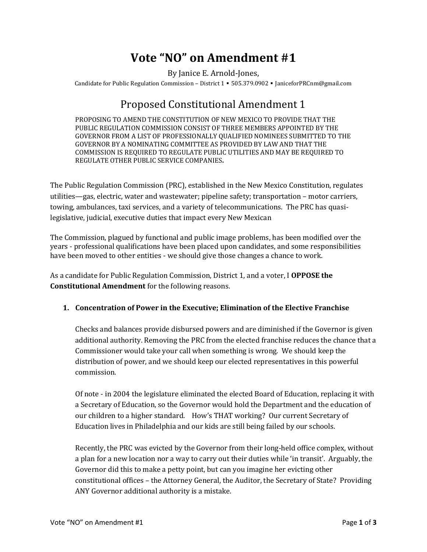# **Vote "NO" on Amendment #1**

By Janice E. Arnold-Jones,

Candidate for Public Regulation Commission – District 1 ▪ 505.379.0902 ▪ JaniceforPRCnm@gmail.com

# Proposed Constitutional Amendment 1

PROPOSING TO AMEND THE CONSTITUTION OF NEW MEXICO TO PROVIDE THAT THE PUBLIC REGULATION COMMISSION CONSIST OF THREE MEMBERS APPOINTED BY THE GOVERNOR FROM A LIST OF PROFESSIONALLY QUALIFIED NOMINEES SUBMITTED TO THE GOVERNOR BY A NOMINATING COMMITTEE AS PROVIDED BY LAW AND THAT THE COMMISSION IS REQUIRED TO REGULATE PUBLIC UTILITIES AND MAY BE REQUIRED TO REGULATE OTHER PUBLIC SERVICE COMPANIES**.**

The Public Regulation Commission (PRC), established in the New Mexico Constitution, regulates utilities—gas, electric, water and wastewater; pipeline safety; transportation – motor carriers, towing, ambulances, taxi services, and a variety of telecommunications. The PRC has quasilegislative, judicial, executive duties that impact every New Mexican

The Commission, plagued by functional and public image problems, has been modified over the years - professional qualifications have been placed upon candidates, and some responsibilities have been moved to other entities - we should give those changes a chance to work.

As a candidate for Public Regulation Commission, District 1, and a voter, I **OPPOSE the Constitutional Amendment** for the following reasons.

## **1. Concentration of Power in the Executive; Elimination of the Elective Franchise**

Checks and balances provide disbursed powers and are diminished if the Governor is given additional authority. Removing the PRC from the elected franchise reduces the chance that a Commissioner would take your call when something is wrong. We should keep the distribution of power, and we should keep our elected representatives in this powerful commission.

Of note - in 2004 the legislature eliminated the elected Board of Education, replacing it with a Secretary of Education, so the Governor would hold the Department and the education of our children to a higher standard. How's THAT working? Our current Secretary of Education lives in Philadelphia and our kids are still being failed by our schools.

Recently, the PRC was evicted by the Governor from their long-held office complex, without a plan for a new location nor a way to carry out their duties while 'in transit'. Arguably, the Governor did this to make a petty point, but can you imagine her evicting other constitutional offices – the Attorney General, the Auditor, the Secretary of State? Providing ANY Governor additional authority is a mistake.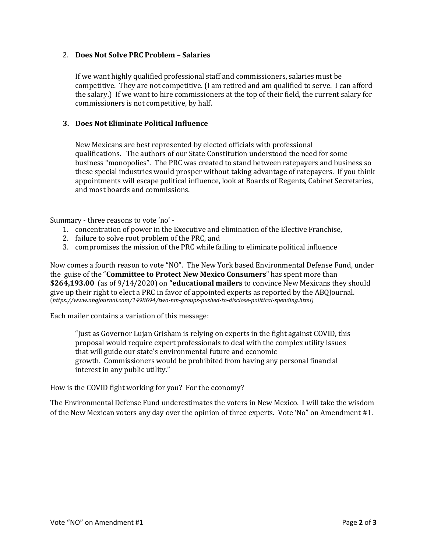### 2. **Does Not Solve PRC Problem – Salaries**

If we want highly qualified professional staff and commissioners, salaries must be competitive. They are not competitive. (I am retired and am qualified to serve. I can afford the salary.) If we want to hire commissioners at the top of their field, the current salary for commissioners is not competitive, by half.

### **3. Does Not Eliminate Political Influence**

New Mexicans are best represented by elected officials with professional qualifications. The authors of our State Constitution understood the need for some business "monopolies". The PRC was created to stand between ratepayers and business so these special industries would prosper without taking advantage of ratepayers. If you think appointments will escape political influence, look at Boards of Regents, Cabinet Secretaries, and most boards and commissions.

Summary - three reasons to vote 'no' -

- 1. concentration of power in the Executive and elimination of the Elective Franchise,
- 2. failure to solve root problem of the PRC, and
- 3. compromises the mission of the PRC while failing to eliminate political influence

Now comes a fourth reason to vote "NO". The New York based Environmental Defense Fund, under the guise of the "**Committee to Protect New Mexico Consumers**" has spent more than **\$264,193.00** (as of 9/14/2020) on **"educational mailers** to convince New Mexicans they should give up their right to elect a PRC in favor of appointed experts as reported by the ABQJournal. (*https://www.abqjournal.com/1498694/two-nm-groups-pushed-to-disclose-political-spending.html)*

Each mailer contains a variation of this message:

"Just as Governor Lujan Grisham is relying on experts in the fight against COVID, this proposal would require expert professionals to deal with the complex utility issues that will guide our state's environmental future and economic growth. Commissioners would be prohibited from having any personal financial interest in any public utility."

How is the COVID fight working for you? For the economy?

The Environmental Defense Fund underestimates the voters in New Mexico. I will take the wisdom of the New Mexican voters any day over the opinion of three experts. Vote 'No" on Amendment #1.